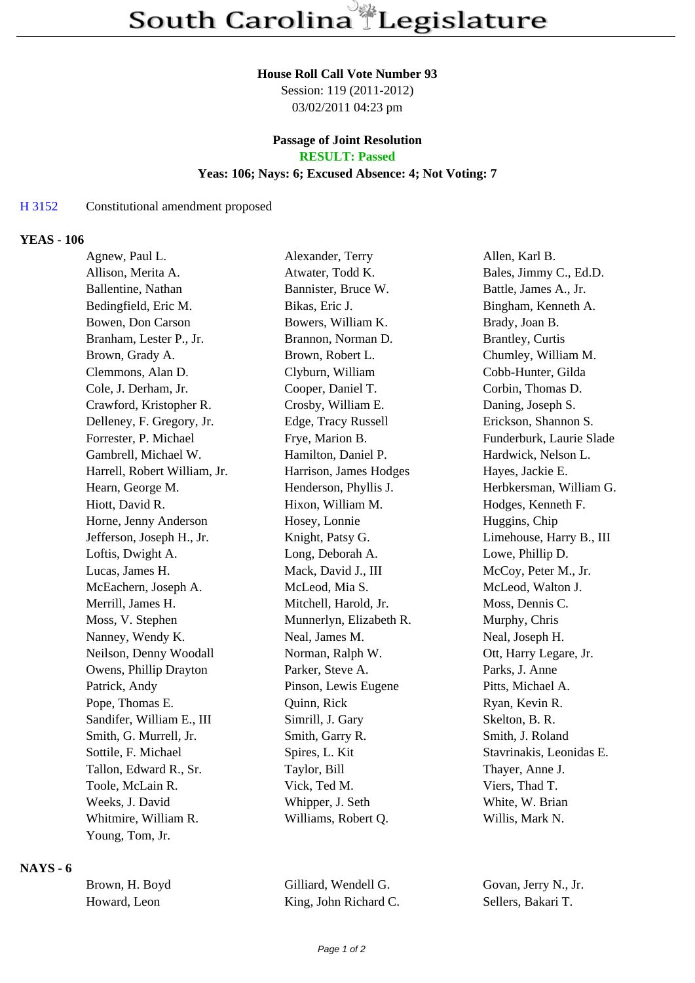#### **House Roll Call Vote Number 93**

Session: 119 (2011-2012) 03/02/2011 04:23 pm

# **Passage of Joint Resolution**

**RESULT: Passed**

## **Yeas: 106; Nays: 6; Excused Absence: 4; Not Voting: 7**

#### H 3152 Constitutional amendment proposed

#### **YEAS - 106**

| Agnew, Paul L.               | Alexander, Terry        | Allen, Karl B.           |
|------------------------------|-------------------------|--------------------------|
| Allison, Merita A.           | Atwater, Todd K.        | Bales, Jimmy C., Ed.D.   |
| Ballentine, Nathan           | Bannister, Bruce W.     | Battle, James A., Jr.    |
| Bedingfield, Eric M.         | Bikas, Eric J.          | Bingham, Kenneth A.      |
| Bowen, Don Carson            | Bowers, William K.      | Brady, Joan B.           |
| Branham, Lester P., Jr.      | Brannon, Norman D.      | <b>Brantley</b> , Curtis |
| Brown, Grady A.              | Brown, Robert L.        | Chumley, William M.      |
| Clemmons, Alan D.            | Clyburn, William        | Cobb-Hunter, Gilda       |
| Cole, J. Derham, Jr.         | Cooper, Daniel T.       | Corbin, Thomas D.        |
| Crawford, Kristopher R.      | Crosby, William E.      | Daning, Joseph S.        |
| Delleney, F. Gregory, Jr.    | Edge, Tracy Russell     | Erickson, Shannon S.     |
| Forrester, P. Michael        | Frye, Marion B.         | Funderburk, Laurie Slade |
| Gambrell, Michael W.         | Hamilton, Daniel P.     | Hardwick, Nelson L.      |
| Harrell, Robert William, Jr. | Harrison, James Hodges  | Hayes, Jackie E.         |
| Hearn, George M.             | Henderson, Phyllis J.   | Herbkersman, William G.  |
| Hiott, David R.              | Hixon, William M.       | Hodges, Kenneth F.       |
| Horne, Jenny Anderson        | Hosey, Lonnie           | Huggins, Chip            |
| Jefferson, Joseph H., Jr.    | Knight, Patsy G.        | Limehouse, Harry B., III |
| Loftis, Dwight A.            | Long, Deborah A.        | Lowe, Phillip D.         |
| Lucas, James H.              | Mack, David J., III     | McCoy, Peter M., Jr.     |
| McEachern, Joseph A.         | McLeod, Mia S.          | McLeod, Walton J.        |
| Merrill, James H.            | Mitchell, Harold, Jr.   | Moss, Dennis C.          |
| Moss, V. Stephen             | Munnerlyn, Elizabeth R. | Murphy, Chris            |
| Nanney, Wendy K.             | Neal, James M.          | Neal, Joseph H.          |
| Neilson, Denny Woodall       | Norman, Ralph W.        | Ott, Harry Legare, Jr.   |
| Owens, Phillip Drayton       | Parker, Steve A.        | Parks, J. Anne           |
| Patrick, Andy                | Pinson, Lewis Eugene    | Pitts, Michael A.        |
| Pope, Thomas E.              | Quinn, Rick             | Ryan, Kevin R.           |
| Sandifer, William E., III    | Simrill, J. Gary        | Skelton, B. R.           |
| Smith, G. Murrell, Jr.       | Smith, Garry R.         | Smith, J. Roland         |
| Sottile, F. Michael          | Spires, L. Kit          | Stavrinakis, Leonidas E. |
| Tallon, Edward R., Sr.       | Taylor, Bill            | Thayer, Anne J.          |
| Toole, McLain R.             | Vick, Ted M.            | Viers, Thad T.           |
| Weeks, J. David              | Whipper, J. Seth        | White, W. Brian          |
| Whitmire, William R.         | Williams, Robert Q.     | Willis, Mark N.          |
| Young, Tom, Jr.              |                         |                          |

## **NAYS - 6**

| Brown, H. Boyd |
|----------------|
| Howard, Leon   |

Gilliard, Wendell G. Govan, Jerry N., Jr. King, John Richard C. Sellers, Bakari T.